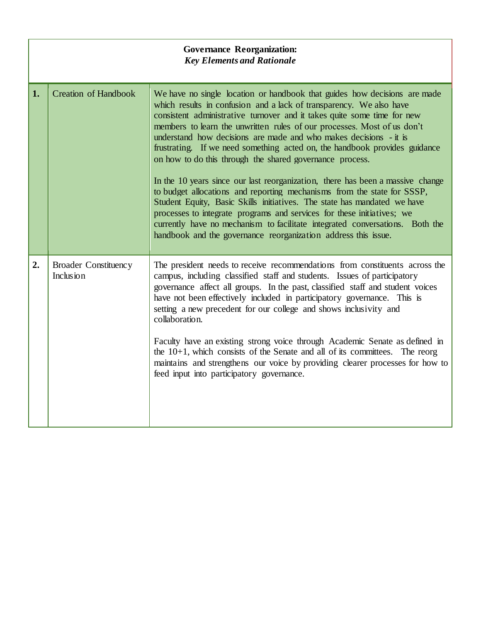| <b>Governance Reorganization:</b><br><b>Key Elements and Rationale</b> |                                          |                                                                                                                                                                                                                                                                                                                                                                                                                                                                                                                                                                                                                                                                                                                                                                                                                                                                                                                                                                                            |  |  |
|------------------------------------------------------------------------|------------------------------------------|--------------------------------------------------------------------------------------------------------------------------------------------------------------------------------------------------------------------------------------------------------------------------------------------------------------------------------------------------------------------------------------------------------------------------------------------------------------------------------------------------------------------------------------------------------------------------------------------------------------------------------------------------------------------------------------------------------------------------------------------------------------------------------------------------------------------------------------------------------------------------------------------------------------------------------------------------------------------------------------------|--|--|
| 1.                                                                     | <b>Creation of Handbook</b>              | We have no single location or handbook that guides how decisions are made<br>which results in confusion and a lack of transparency. We also have<br>consistent administrative turnover and it takes quite some time for new<br>members to learn the unwritten rules of our processes. Most of us don't<br>understand how decisions are made and who makes decisions - it is<br>frustrating. If we need something acted on, the handbook provides guidance<br>on how to do this through the shared governance process.<br>In the 10 years since our last reorganization, there has been a massive change<br>to budget allocations and reporting mechanisms from the state for SSSP,<br>Student Equity, Basic Skills initiatives. The state has mandated we have<br>processes to integrate programs and services for these initiatives; we<br>currently have no mechanism to facilitate integrated conversations. Both the<br>handbook and the governance reorganization address this issue. |  |  |
| 2.                                                                     | <b>Broader Constituency</b><br>Inclusion | The president needs to receive recommendations from constituents across the<br>campus, including classified staff and students. Issues of participatory<br>governance affect all groups. In the past, classified staff and student voices<br>have not been effectively included in participatory governance. This is<br>setting a new precedent for our college and shows inclusivity and<br>collaboration.<br>Faculty have an existing strong voice through Academic Senate as defined in<br>the $10+1$ , which consists of the Senate and all of its committees.<br>The reorg<br>maintains and strengthens our voice by providing clearer processes for how to<br>feed input into participatory governance.                                                                                                                                                                                                                                                                              |  |  |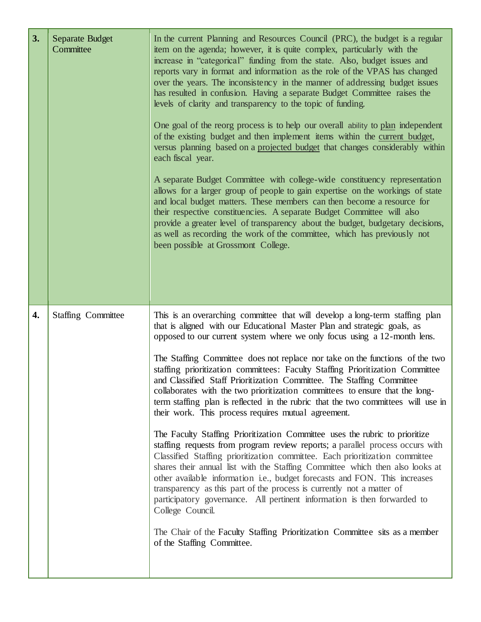| 3. | Separate Budget<br>Committee | In the current Planning and Resources Council (PRC), the budget is a regular<br>item on the agenda; however, it is quite complex, particularly with the<br>increase in "categorical" funding from the state. Also, budget issues and<br>reports vary in format and information as the role of the VPAS has changed<br>over the years. The inconsistency in the manner of addressing budget issues<br>has resulted in confusion. Having a separate Budget Committee raises the<br>levels of clarity and transparency to the topic of funding.<br>One goal of the reorg process is to help our overall ability to plan independent<br>of the existing budget and then implement items within the current budget,<br>versus planning based on a projected budget that changes considerably within<br>each fiscal year.<br>A separate Budget Committee with college-wide constituency representation<br>allows for a larger group of people to gain expertise on the workings of state<br>and local budget matters. These members can then become a resource for<br>their respective constituencies. A separate Budget Committee will also<br>provide a greater level of transparency about the budget, budgetary decisions,<br>as well as recording the work of the committee, which has previously not<br>been possible at Grossmont College.                                                                    |
|----|------------------------------|----------------------------------------------------------------------------------------------------------------------------------------------------------------------------------------------------------------------------------------------------------------------------------------------------------------------------------------------------------------------------------------------------------------------------------------------------------------------------------------------------------------------------------------------------------------------------------------------------------------------------------------------------------------------------------------------------------------------------------------------------------------------------------------------------------------------------------------------------------------------------------------------------------------------------------------------------------------------------------------------------------------------------------------------------------------------------------------------------------------------------------------------------------------------------------------------------------------------------------------------------------------------------------------------------------------------------------------------------------------------------------------------------------------|
| 4. | <b>Staffing Committee</b>    | This is an overarching committee that will develop a long-term staffing plan<br>that is aligned with our Educational Master Plan and strategic goals, as<br>opposed to our current system where we only focus using a 12-month lens.<br>The Staffing Committee does not replace nor take on the functions of the two<br>staffing prioritization committees: Faculty Staffing Prioritization Committee<br>and Classified Staff Prioritization Committee. The Staffing Committee<br>collaborates with the two prioritization committees to ensure that the long-<br>term staffing plan is reflected in the rubric that the two committees will use in<br>their work. This process requires mutual agreement.<br>The Faculty Staffing Prioritization Committee uses the rubric to prioritize<br>staffing requests from program review reports; a parallel process occurs with<br>Classified Staffing prioritization committee. Each prioritization committee<br>shares their annual list with the Staffing Committee which then also looks at<br>other available information i.e., budget forecasts and FON. This increases<br>transparency as this part of the process is currently not a matter of<br>participatory governance. All pertinent information is then forwarded to<br>College Council.<br>The Chair of the Faculty Staffing Prioritization Committee sits as a member<br>of the Staffing Committee. |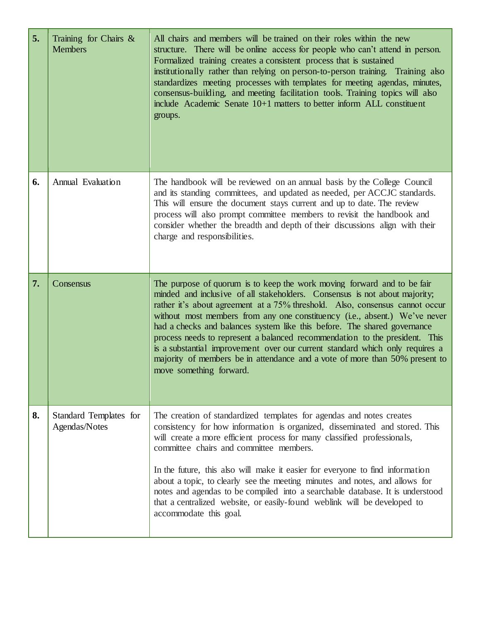| 5. | Training for Chairs $\&$<br><b>Members</b> | All chairs and members will be trained on their roles within the new<br>structure. There will be online access for people who can't attend in person.<br>Formalized training creates a consistent process that is sustained<br>institutionally rather than relying on person-to-person training. Training also<br>standardizes meeting processes with templates for meeting agendas, minutes,<br>consensus-building, and meeting facilitation tools. Training topics will also<br>include Academic Senate 10+1 matters to better inform ALL constituent<br>groups.                                                                                                       |
|----|--------------------------------------------|--------------------------------------------------------------------------------------------------------------------------------------------------------------------------------------------------------------------------------------------------------------------------------------------------------------------------------------------------------------------------------------------------------------------------------------------------------------------------------------------------------------------------------------------------------------------------------------------------------------------------------------------------------------------------|
| 6. | Annual Evaluation                          | The handbook will be reviewed on an annual basis by the College Council<br>and its standing committees, and updated as needed, per ACCJC standards.<br>This will ensure the document stays current and up to date. The review<br>process will also prompt committee members to revisit the handbook and<br>consider whether the breadth and depth of their discussions align with their<br>charge and responsibilities.                                                                                                                                                                                                                                                  |
| 7. | Consensus                                  | The purpose of quorum is to keep the work moving forward and to be fair<br>minded and inclusive of all stakeholders. Consensus is not about majority;<br>rather it's about agreement at a 75% threshold. Also, consensus cannot occur<br>without most members from any one constituency (i.e., absent.) We've never<br>had a checks and balances system like this before. The shared governance<br>process needs to represent a balanced recommendation to the president. This<br>is a substantial improvement over our current standard which only requires a<br>majority of members be in attendance and a vote of more than 50% present to<br>move something forward. |
| 8. | Standard Templates for<br>Agendas/Notes    | The creation of standardized templates for agendas and notes creates<br>consistency for how information is organized, disseminated and stored. This<br>will create a more efficient process for many classified professionals,<br>committee chairs and committee members.<br>In the future, this also will make it easier for everyone to find information<br>about a topic, to clearly see the meeting minutes and notes, and allows for<br>notes and agendas to be compiled into a searchable database. It is understood<br>that a centralized website, or easily-found weblink will be developed to<br>accommodate this goal.                                         |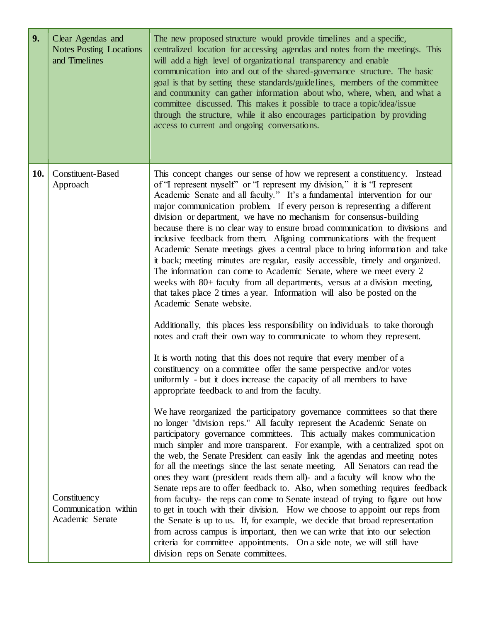| 9.  | Clear Agendas and<br><b>Notes Posting Locations</b><br>and Timelines | The new proposed structure would provide timelines and a specific,<br>centralized location for accessing agendas and notes from the meetings. This<br>will add a high level of organizational transparency and enable<br>communication into and out of the shared-governance structure. The basic<br>goal is that by setting these standards/guidelines, members of the committee<br>and community can gather information about who, where, when, and what a<br>committee discussed. This makes it possible to trace a topic/idea/issue<br>through the structure, while it also encourages participation by providing<br>access to current and ongoing conversations.                                                                                                                                                                                                                                                                                                                                                                                                                                                                                                                                                                                                                                                                                                                                                                                                                                                                                                   |
|-----|----------------------------------------------------------------------|-------------------------------------------------------------------------------------------------------------------------------------------------------------------------------------------------------------------------------------------------------------------------------------------------------------------------------------------------------------------------------------------------------------------------------------------------------------------------------------------------------------------------------------------------------------------------------------------------------------------------------------------------------------------------------------------------------------------------------------------------------------------------------------------------------------------------------------------------------------------------------------------------------------------------------------------------------------------------------------------------------------------------------------------------------------------------------------------------------------------------------------------------------------------------------------------------------------------------------------------------------------------------------------------------------------------------------------------------------------------------------------------------------------------------------------------------------------------------------------------------------------------------------------------------------------------------|
| 10. | <b>Constituent-Based</b><br>Approach                                 | This concept changes our sense of how we represent a constituency. Instead<br>of "I represent myself" or "I represent my division," it is "I represent<br>Academic Senate and all faculty." It's a fundamental intervention for our<br>major communication problem. If every person is representing a different<br>division or department, we have no mechanism for consensus-building<br>because there is no clear way to ensure broad communication to divisions and<br>inclusive feedback from them. Aligning communications with the frequent<br>Academic Senate meetings gives a central place to bring information and take<br>it back; meeting minutes are regular, easily accessible, timely and organized.<br>The information can come to Academic Senate, where we meet every 2<br>weeks with 80+ faculty from all departments, versus at a division meeting,<br>that takes place 2 times a year. Information will also be posted on the<br>Academic Senate website.<br>Additionally, this places less responsibility on individuals to take thorough<br>notes and craft their own way to communicate to whom they represent.<br>It is worth noting that this does not require that every member of a<br>constituency on a committee offer the same perspective and/or votes<br>uniformly - but it does increase the capacity of all members to have<br>appropriate feedback to and from the faculty.<br>We have reorganized the participatory governance committees so that there<br>no longer "division reps." All faculty represent the Academic Senate on |
|     | Constituency<br>Communication within<br>Academic Senate              | participatory governance committees. This actually makes communication<br>much simpler and more transparent. For example, with a centralized spot on<br>the web, the Senate President can easily link the agendas and meeting notes<br>for all the meetings since the last senate meeting. All Senators can read the<br>ones they want (president reads them all)- and a faculty will know who the<br>Senate reps are to offer feedback to. Also, when something requires feedback<br>from faculty- the reps can come to Senate instead of trying to figure out how<br>to get in touch with their division. How we choose to appoint our reps from<br>the Senate is up to us. If, for example, we decide that broad representation<br>from across campus is important, then we can write that into our selection<br>criteria for committee appointments. On a side note, we will still have<br>division reps on Senate committees.                                                                                                                                                                                                                                                                                                                                                                                                                                                                                                                                                                                                                                      |